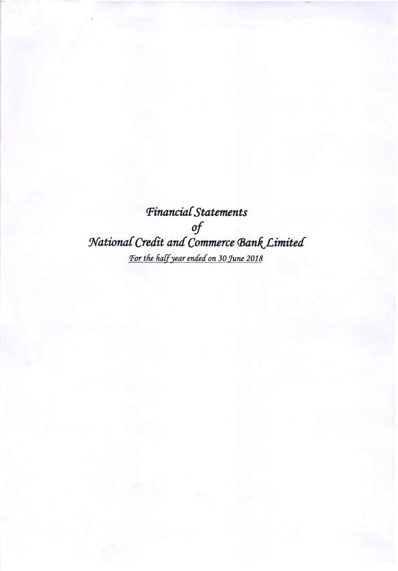Financial Statements  $\it{of}$ National Credit and Commerce Bank Limited For the half year ended on 30 June 2018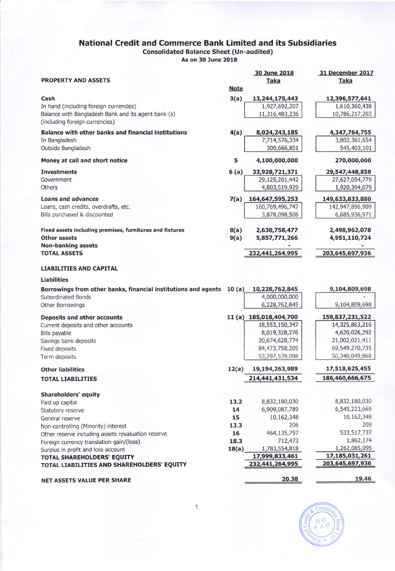## National Credit and Commerce Bank Limited and its Subsidiaries Consolidated Balance Sheet (Un-audited)

As on 30 June 2018

| <b>PROPERTY AND ASSETS</b>                                     |             | 30 June 2018<br><b>Taka</b>       | 31 December 2017<br><b>Taka</b> |
|----------------------------------------------------------------|-------------|-----------------------------------|---------------------------------|
|                                                                | <b>Note</b> |                                   |                                 |
| Cash                                                           | 3(a)        | 13,244,175,443                    | 12,396,577,641                  |
| In hand (including foreign currencies)                         |             | 1,927,692,207                     | 1,610,360,438                   |
| Balance with Bangladesh Bank and its agent bank (s)            |             | 11,316,483,236                    | 10,786,217,203                  |
| (including foreign currencies)                                 |             |                                   |                                 |
| Balance with other banks and financial institutions            | 4(a)        | 8,024,243,185                     | 4,347,764,755                   |
| In Bangladesh                                                  |             | 7,714,576,334                     | 3,802,361,654                   |
| Outside Bangladesh                                             |             | 309,666,851                       | 545,403,101                     |
| Money at call and short notice                                 | 5           | 4,100,000,000                     | 270,000,000                     |
| <b>Investments</b>                                             | 6(a)        | 33,928,721,371                    | 29,547,448,858                  |
| Government                                                     |             | 29,125,201,442                    | 27,627,054,779                  |
| Others                                                         |             | 4,803,519,929                     | 1,920,394,079                   |
| Loans and advances                                             | 7(a)        | 164,647,595,253                   | 149,633,833,880                 |
| Loans, cash credits, overdrafts, etc.                          |             | 160,769,496,747                   | 142,947,896,909                 |
| Bills purchased & discounted                                   |             | 3,878,098,506                     | 6,685,936,971                   |
|                                                                |             |                                   |                                 |
| Fixed assets including premises, furnitures and fixtures       | 8(a)        | 2,638,758,477                     | 2,498,962,078                   |
| <b>Other assets</b>                                            | 9(a)        | 5,857,771,266                     | 4,951,110,724                   |
| <b>Non-banking assets</b>                                      |             |                                   |                                 |
| <b>TOTAL ASSETS</b>                                            |             | 232,441,264,995                   | 203,645,697,936                 |
| <b>LIABILITIES AND CAPITAL</b>                                 |             |                                   |                                 |
| <b>Liabilities</b>                                             |             |                                   |                                 |
| Borrowings from other banks, financial institutions and agents | 10(a)       | 10,228,762,845                    | 9,104,809,698                   |
| <b>Subordinated Bonds</b>                                      |             | 4,000,000,000                     |                                 |
| Other Borrowings                                               |             | 6,228,762,845                     | 9,104,809,698                   |
| <b>Deposits and other accounts</b>                             |             | 11 (a) 185,018,404,700            | 159,837,231,522                 |
| Current deposits and other accounts                            |             | 18,553,150,347                    | 14,325,863,216                  |
| Bills payable                                                  |             | 8,019,328,276                     | 4,620,026,292                   |
| Savings bank deposits                                          |             | 20,674,628,774                    | 21,002,021,411                  |
| Fixed deposits                                                 |             | 84,473,758,205                    | 69,549,270,735                  |
| Term deposits                                                  |             | 53,297,539,098                    | 50,340,049,868                  |
| <b>Other liabilities</b>                                       | 12(a)       | 19,194,263,989                    | 17,518,625,455                  |
| <b>TOTAL LIABILITIES</b>                                       |             | 214,441,431,534                   | 186,460,666,675                 |
|                                                                |             |                                   |                                 |
| Shareholders' equity                                           |             |                                   |                                 |
| Paid up capital                                                | 13.2        | 8,832,180,030                     | 8,832,180,030                   |
| Statutory reserve                                              | 14          | 6,909,087,789                     | 6,545,223,669                   |
| General reserve                                                | 15          | 10,162,348                        | 10,162,348                      |
| Non-controlling (Minority) interest                            | 13.3        | 206                               | 209                             |
| Other reserve including assets revaluation reserve             | 16          | 464,135,797                       | 533, 517, 737                   |
| Foreign currency translation gain/(loss)                       | 18.3        | 712,473                           | 1,862,174                       |
| Surplus in profit and loss account                             | 18(a)       | 1,783,554,818                     | 1,262,085,095<br>17,185,031,261 |
| TOTAL SHAREHOLDERS' EQUITY                                     |             | 17,999,833,461<br>232,441,264,995 | 203,645,697,936                 |
| TOTAL LIABILITIES AND SHAREHOLDERS' EQUITY                     |             |                                   |                                 |
| NET ASSETS VALUE PER SHARE                                     |             | 20.38                             | 19.46                           |



1